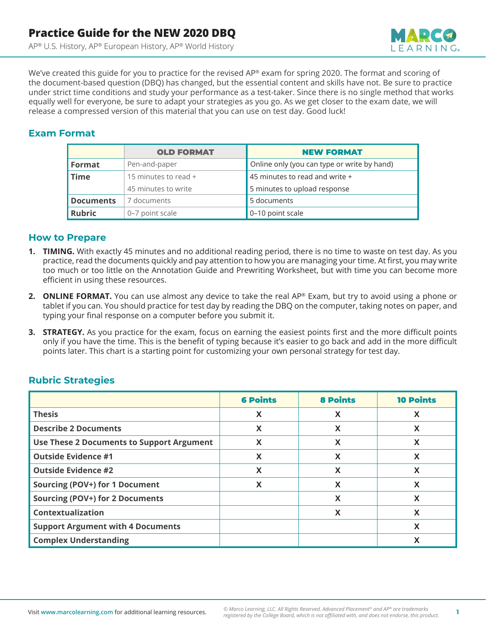

We've created this guide for you to practice for the revised AP® exam for spring 2020. The format and scoring of the document-based question (DBQ) has changed, but the essential content and skills have not. Be sure to practice under strict time conditions and study your performance as a test-taker. Since there is no single method that works equally well for everyone, be sure to adapt your strategies as you go. As we get closer to the exam date, we will release a compressed version of this material that you can use on test day. Good luck!

### **Exam Format**

|                                     | <b>OLD FORMAT</b>   | <b>NEW FORMAT</b>                           |
|-------------------------------------|---------------------|---------------------------------------------|
| Format                              | Pen-and-paper       | Online only (you can type or write by hand) |
| 15 minutes to read +<br><b>Time</b> |                     | 45 minutes to read and write $+$            |
|                                     | 45 minutes to write | 5 minutes to upload response                |
| <b>Documents</b>                    | 7 documents         | 5 documents                                 |
| <b>Rubric</b>                       | 0-7 point scale     | 0-10 point scale                            |

### **How to Prepare**

- **1. TIMING.** With exactly 45 minutes and no additional reading period, there is no time to waste on test day. As you practice, read the documents quickly and pay attention to how you are managing your time. At first, you may write too much or too little on the Annotation Guide and Prewriting Worksheet, but with time you can become more efficient in using these resources.
- **2. ONLINE FORMAT.** You can use almost any device to take the real AP® Exam, but try to avoid using a phone or tablet if you can. You should practice for test day by reading the DBQ on the computer, taking notes on paper, and typing your final response on a computer before you submit it.
- **3. STRATEGY.** As you practice for the exam, focus on earning the easiest points first and the more difficult points only if you have the time. This is the benefit of typing because it's easier to go back and add in the more difficult points later. This chart is a starting point for customizing your own personal strategy for test day.

## **Rubric Strategies**

|                                                  | <b>6 Points</b> | <b>8 Points</b> | <b>10 Points</b> |
|--------------------------------------------------|-----------------|-----------------|------------------|
| <b>Thesis</b>                                    | X               | X               | X                |
| <b>Describe 2 Documents</b>                      | X               | X               | X                |
| <b>Use These 2 Documents to Support Argument</b> | X               | X               | X                |
| <b>Outside Evidence #1</b>                       | X               | X               | X                |
| <b>Outside Evidence #2</b>                       | X               | X               | X                |
| Sourcing (POV+) for 1 Document                   | X               | X               | X                |
| <b>Sourcing (POV+) for 2 Documents</b>           |                 | X               | X                |
| <b>Contextualization</b>                         |                 | X               | X                |
| <b>Support Argument with 4 Documents</b>         |                 |                 | X                |
| <b>Complex Understanding</b>                     |                 |                 | X                |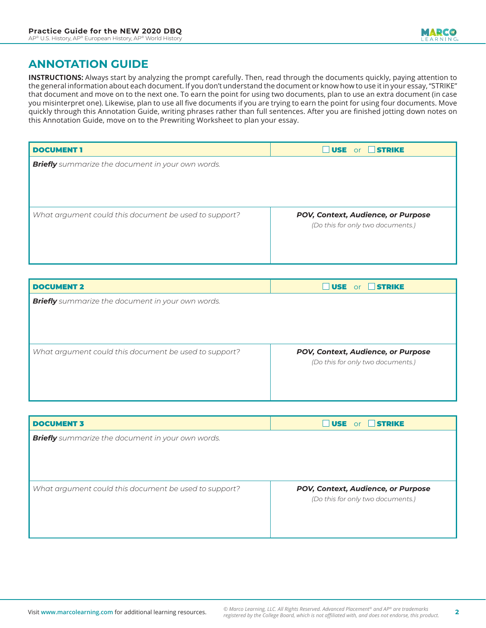# **ANNOTATION GUIDE**

**INSTRUCTIONS:** Always start by analyzing the prompt carefully. Then, read through the documents quickly, paying attention to the general information about each document. If you don't understand the document or know how to use it in your essay, "STRIKE" that document and move on to the next one. To earn the point for using two documents, plan to use an extra document (in case you misinterpret one). Likewise, plan to use all five documents if you are trying to earn the point for using four documents. Move quickly through this Annotation Guide, writing phrases rather than full sentences. After you are finished jotting down notes on this Annotation Guide, move on to the Prewriting Worksheet to plan your essay.

| <b>DOCUMENT 1</b>                                        | <b>USE or STRIKE</b>               |  |
|----------------------------------------------------------|------------------------------------|--|
| <b>Briefly</b> summarize the document in your own words. |                                    |  |
|                                                          |                                    |  |
|                                                          |                                    |  |
|                                                          |                                    |  |
| What argument could this document be used to support?    | POV, Context, Audience, or Purpose |  |
|                                                          | (Do this for only two documents.)  |  |
|                                                          |                                    |  |
|                                                          |                                    |  |

| <b>DOCUMENT 2</b>                                        | <b>USE or STRIKE</b>               |
|----------------------------------------------------------|------------------------------------|
| <b>Briefly</b> summarize the document in your own words. |                                    |
|                                                          |                                    |
|                                                          |                                    |
|                                                          |                                    |
| What argument could this document be used to support?    | POV, Context, Audience, or Purpose |
|                                                          | (Do this for only two documents.)  |
|                                                          |                                    |
|                                                          |                                    |

| <b>USE</b> or <b>STRIKE</b>        |
|------------------------------------|
|                                    |
|                                    |
|                                    |
|                                    |
| POV, Context, Audience, or Purpose |
| (Do this for only two documents.)  |
|                                    |
|                                    |
|                                    |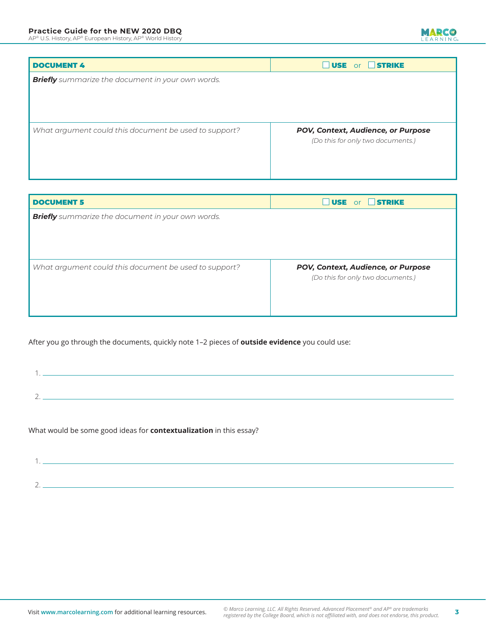AP® U.S. History, AP® European History, AP® World History

# MARCO

| <b>DOCUMENT 4</b>                                        | <b>USE</b> or <b>STRIKE</b>        |  |
|----------------------------------------------------------|------------------------------------|--|
| <b>Briefly</b> summarize the document in your own words. |                                    |  |
|                                                          |                                    |  |
|                                                          |                                    |  |
|                                                          |                                    |  |
| What argument could this document be used to support?    | POV, Context, Audience, or Purpose |  |
|                                                          | (Do this for only two documents.)  |  |
|                                                          |                                    |  |
|                                                          |                                    |  |

| <b>JUSE</b> or <b>STRIKE</b>       |
|------------------------------------|
|                                    |
|                                    |
|                                    |
|                                    |
| POV, Context, Audience, or Purpose |
| (Do this for only two documents.)  |
|                                    |
|                                    |
|                                    |

After you go through the documents, quickly note 1–2 pieces of **outside evidence** you could use:

What would be some good ideas for **contextualization** in this essay?